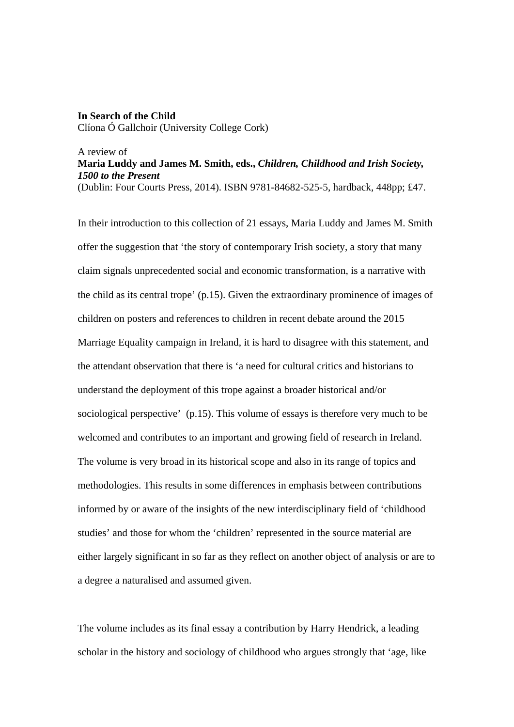## **In Search of the Child**  Clíona Ó Gallchoir (University College Cork)

## A review of **Maria Luddy and James M. Smith, eds.,** *Children, Childhood and Irish Society, 1500 to the Present*  (Dublin: Four Courts Press, 2014). ISBN 9781-84682-525-5, hardback, 448pp; £47.

In their introduction to this collection of 21 essays, Maria Luddy and James M. Smith offer the suggestion that 'the story of contemporary Irish society, a story that many claim signals unprecedented social and economic transformation, is a narrative with the child as its central trope' (p.15). Given the extraordinary prominence of images of children on posters and references to children in recent debate around the 2015 Marriage Equality campaign in Ireland, it is hard to disagree with this statement, and the attendant observation that there is 'a need for cultural critics and historians to understand the deployment of this trope against a broader historical and/or sociological perspective' (p.15). This volume of essays is therefore very much to be welcomed and contributes to an important and growing field of research in Ireland. The volume is very broad in its historical scope and also in its range of topics and methodologies. This results in some differences in emphasis between contributions informed by or aware of the insights of the new interdisciplinary field of 'childhood studies' and those for whom the 'children' represented in the source material are either largely significant in so far as they reflect on another object of analysis or are to a degree a naturalised and assumed given.

The volume includes as its final essay a contribution by Harry Hendrick, a leading scholar in the history and sociology of childhood who argues strongly that 'age, like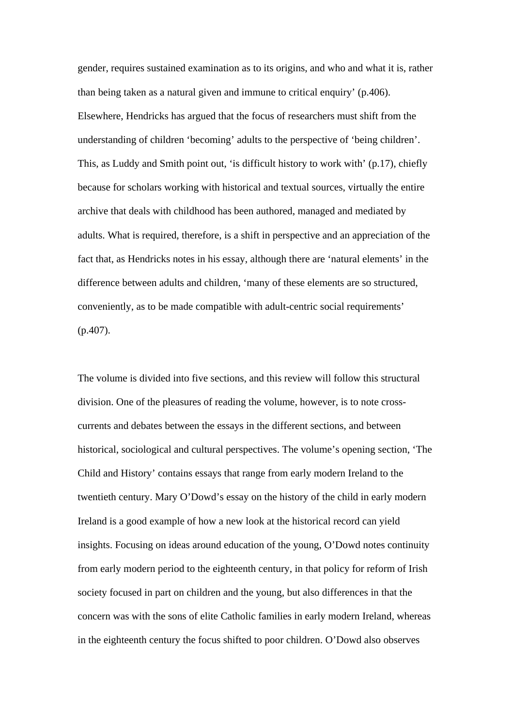gender, requires sustained examination as to its origins, and who and what it is, rather than being taken as a natural given and immune to critical enquiry' (p.406). Elsewhere, Hendricks has argued that the focus of researchers must shift from the understanding of children 'becoming' adults to the perspective of 'being children'. This, as Luddy and Smith point out, 'is difficult history to work with' (p.17), chiefly because for scholars working with historical and textual sources, virtually the entire archive that deals with childhood has been authored, managed and mediated by adults. What is required, therefore, is a shift in perspective and an appreciation of the fact that, as Hendricks notes in his essay, although there are 'natural elements' in the difference between adults and children, 'many of these elements are so structured, conveniently, as to be made compatible with adult-centric social requirements' (p.407).

The volume is divided into five sections, and this review will follow this structural division. One of the pleasures of reading the volume, however, is to note crosscurrents and debates between the essays in the different sections, and between historical, sociological and cultural perspectives. The volume's opening section, 'The Child and History' contains essays that range from early modern Ireland to the twentieth century. Mary O'Dowd's essay on the history of the child in early modern Ireland is a good example of how a new look at the historical record can yield insights. Focusing on ideas around education of the young, O'Dowd notes continuity from early modern period to the eighteenth century, in that policy for reform of Irish society focused in part on children and the young, but also differences in that the concern was with the sons of elite Catholic families in early modern Ireland, whereas in the eighteenth century the focus shifted to poor children. O'Dowd also observes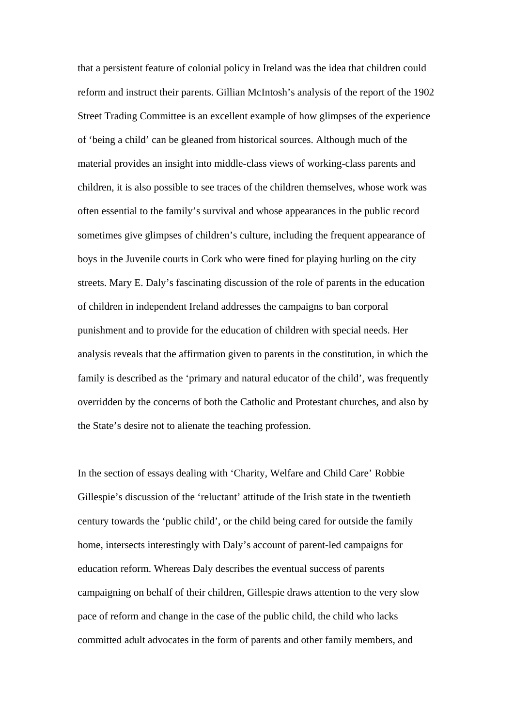that a persistent feature of colonial policy in Ireland was the idea that children could reform and instruct their parents. Gillian McIntosh's analysis of the report of the 1902 Street Trading Committee is an excellent example of how glimpses of the experience of 'being a child' can be gleaned from historical sources. Although much of the material provides an insight into middle-class views of working-class parents and children, it is also possible to see traces of the children themselves, whose work was often essential to the family's survival and whose appearances in the public record sometimes give glimpses of children's culture, including the frequent appearance of boys in the Juvenile courts in Cork who were fined for playing hurling on the city streets. Mary E. Daly's fascinating discussion of the role of parents in the education of children in independent Ireland addresses the campaigns to ban corporal punishment and to provide for the education of children with special needs. Her analysis reveals that the affirmation given to parents in the constitution, in which the family is described as the 'primary and natural educator of the child', was frequently overridden by the concerns of both the Catholic and Protestant churches, and also by the State's desire not to alienate the teaching profession.

In the section of essays dealing with 'Charity, Welfare and Child Care' Robbie Gillespie's discussion of the 'reluctant' attitude of the Irish state in the twentieth century towards the 'public child', or the child being cared for outside the family home, intersects interestingly with Daly's account of parent-led campaigns for education reform. Whereas Daly describes the eventual success of parents campaigning on behalf of their children, Gillespie draws attention to the very slow pace of reform and change in the case of the public child, the child who lacks committed adult advocates in the form of parents and other family members, and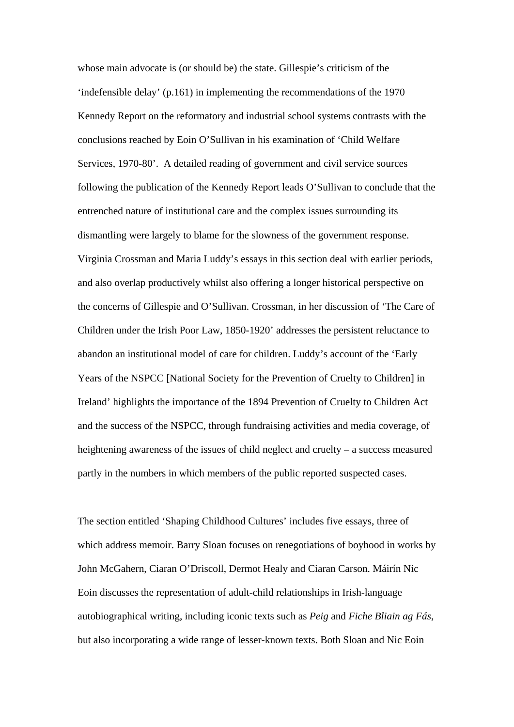whose main advocate is (or should be) the state. Gillespie's criticism of the 'indefensible delay' (p.161) in implementing the recommendations of the 1970 Kennedy Report on the reformatory and industrial school systems contrasts with the conclusions reached by Eoin O'Sullivan in his examination of 'Child Welfare Services, 1970-80'. A detailed reading of government and civil service sources following the publication of the Kennedy Report leads O'Sullivan to conclude that the entrenched nature of institutional care and the complex issues surrounding its dismantling were largely to blame for the slowness of the government response. Virginia Crossman and Maria Luddy's essays in this section deal with earlier periods, and also overlap productively whilst also offering a longer historical perspective on the concerns of Gillespie and O'Sullivan. Crossman, in her discussion of 'The Care of Children under the Irish Poor Law, 1850-1920' addresses the persistent reluctance to abandon an institutional model of care for children. Luddy's account of the 'Early Years of the NSPCC [National Society for the Prevention of Cruelty to Children] in Ireland' highlights the importance of the 1894 Prevention of Cruelty to Children Act and the success of the NSPCC, through fundraising activities and media coverage, of heightening awareness of the issues of child neglect and cruelty – a success measured partly in the numbers in which members of the public reported suspected cases.

The section entitled 'Shaping Childhood Cultures' includes five essays, three of which address memoir. Barry Sloan focuses on renegotiations of boyhood in works by John McGahern, Ciaran O'Driscoll, Dermot Healy and Ciaran Carson. Máirín Nic Eoin discusses the representation of adult-child relationships in Irish-language autobiographical writing, including iconic texts such as *Peig* and *Fiche Bliain ag Fás*, but also incorporating a wide range of lesser-known texts. Both Sloan and Nic Eoin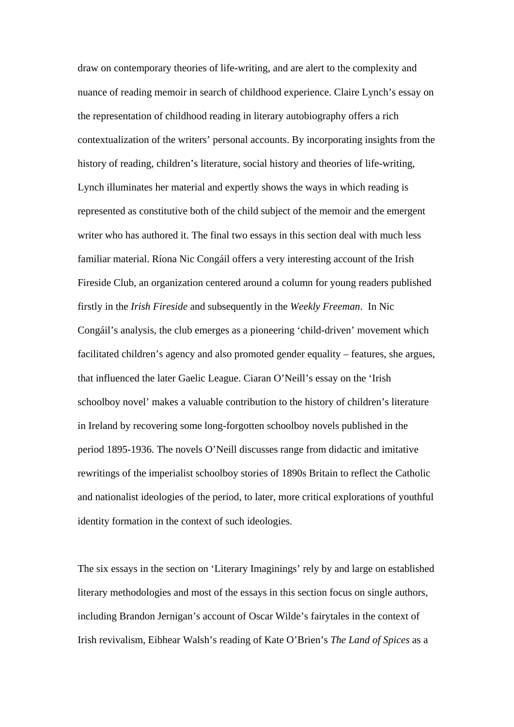draw on contemporary theories of life-writing, and are alert to the complexity and nuance of reading memoir in search of childhood experience. Claire Lynch's essay on the representation of childhood reading in literary autobiography offers a rich contextualization of the writers' personal accounts. By incorporating insights from the history of reading, children's literature, social history and theories of life-writing, Lynch illuminates her material and expertly shows the ways in which reading is represented as constitutive both of the child subject of the memoir and the emergent writer who has authored it. The final two essays in this section deal with much less familiar material. Ríona Nic Congáil offers a very interesting account of the Irish Fireside Club, an organization centered around a column for young readers published firstly in the *Irish Fireside* and subsequently in the *Weekly Freeman*. In Nic Congáil's analysis, the club emerges as a pioneering 'child-driven' movement which facilitated children's agency and also promoted gender equality – features, she argues, that influenced the later Gaelic League. Ciaran O'Neill's essay on the 'Irish schoolboy novel' makes a valuable contribution to the history of children's literature in Ireland by recovering some long-forgotten schoolboy novels published in the period 1895-1936. The novels O'Neill discusses range from didactic and imitative rewritings of the imperialist schoolboy stories of 1890s Britain to reflect the Catholic and nationalist ideologies of the period, to later, more critical explorations of youthful identity formation in the context of such ideologies.

The six essays in the section on 'Literary Imaginings' rely by and large on established literary methodologies and most of the essays in this section focus on single authors, including Brandon Jernigan's account of Oscar Wilde's fairytales in the context of Irish revivalism, Eibhear Walsh's reading of Kate O'Brien's *The Land of Spices* as a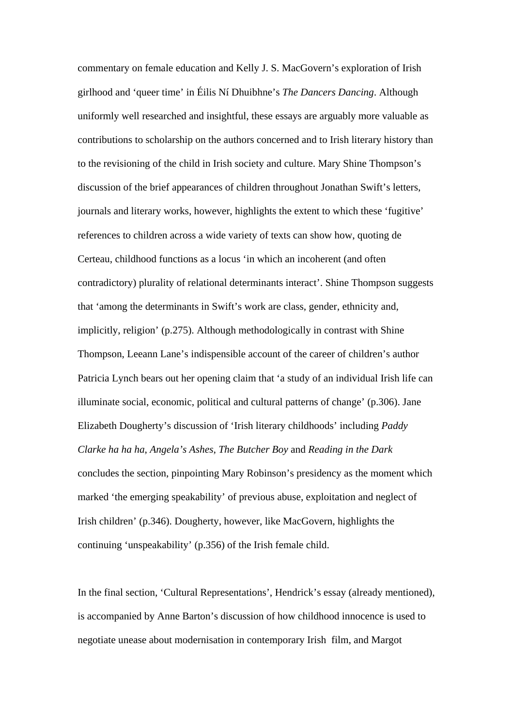commentary on female education and Kelly J. S. MacGovern's exploration of Irish girlhood and 'queer time' in Éilis Ní Dhuibhne's *The Dancers Dancing*. Although uniformly well researched and insightful, these essays are arguably more valuable as contributions to scholarship on the authors concerned and to Irish literary history than to the revisioning of the child in Irish society and culture. Mary Shine Thompson's discussion of the brief appearances of children throughout Jonathan Swift's letters, journals and literary works, however, highlights the extent to which these 'fugitive' references to children across a wide variety of texts can show how, quoting de Certeau, childhood functions as a locus 'in which an incoherent (and often contradictory) plurality of relational determinants interact'. Shine Thompson suggests that 'among the determinants in Swift's work are class, gender, ethnicity and, implicitly, religion' (p.275). Although methodologically in contrast with Shine Thompson, Leeann Lane's indispensible account of the career of children's author Patricia Lynch bears out her opening claim that 'a study of an individual Irish life can illuminate social, economic, political and cultural patterns of change' (p.306). Jane Elizabeth Dougherty's discussion of 'Irish literary childhoods' including *Paddy Clarke ha ha ha*, *Angela's Ashes*, *The Butcher Boy* and *Reading in the Dark* concludes the section, pinpointing Mary Robinson's presidency as the moment which marked 'the emerging speakability' of previous abuse, exploitation and neglect of Irish children' (p.346). Dougherty, however, like MacGovern, highlights the continuing 'unspeakability' (p.356) of the Irish female child.

In the final section, 'Cultural Representations', Hendrick's essay (already mentioned), is accompanied by Anne Barton's discussion of how childhood innocence is used to negotiate unease about modernisation in contemporary Irish film, and Margot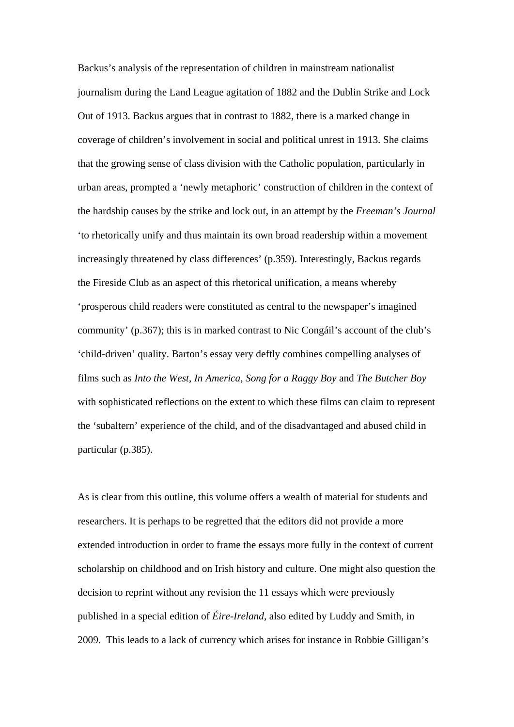Backus's analysis of the representation of children in mainstream nationalist journalism during the Land League agitation of 1882 and the Dublin Strike and Lock Out of 1913. Backus argues that in contrast to 1882, there is a marked change in coverage of children's involvement in social and political unrest in 1913. She claims that the growing sense of class division with the Catholic population, particularly in urban areas, prompted a 'newly metaphoric' construction of children in the context of the hardship causes by the strike and lock out, in an attempt by the *Freeman's Journal* 'to rhetorically unify and thus maintain its own broad readership within a movement increasingly threatened by class differences' (p.359). Interestingly, Backus regards the Fireside Club as an aspect of this rhetorical unification, a means whereby 'prosperous child readers were constituted as central to the newspaper's imagined community' (p.367); this is in marked contrast to Nic Congáil's account of the club's 'child-driven' quality. Barton's essay very deftly combines compelling analyses of films such as *Into the West*, *In America*, *Song for a Raggy Boy* and *The Butcher Boy* with sophisticated reflections on the extent to which these films can claim to represent the 'subaltern' experience of the child, and of the disadvantaged and abused child in particular (p.385).

As is clear from this outline, this volume offers a wealth of material for students and researchers. It is perhaps to be regretted that the editors did not provide a more extended introduction in order to frame the essays more fully in the context of current scholarship on childhood and on Irish history and culture. One might also question the decision to reprint without any revision the 11 essays which were previously published in a special edition of *Éire-Ireland*, also edited by Luddy and Smith, in 2009. This leads to a lack of currency which arises for instance in Robbie Gilligan's